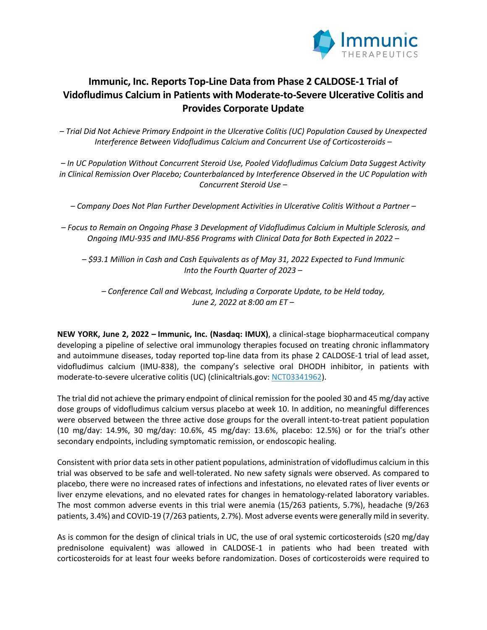

# **Immunic, Inc. Reports Top-Line Data from Phase 2 CALDOSE-1 Trial of Vidofludimus Calcium in Patients with Moderate-to-Severe Ulcerative Colitis and Provides Corporate Update**

*– Trial Did Not Achieve Primary Endpoint in the Ulcerative Colitis (UC) Population Caused by Unexpected Interference Between Vidofludimus Calcium and Concurrent Use of Corticosteroids –*

*– In UC Population Without Concurrent Steroid Use, Pooled Vidofludimus Calcium Data Suggest Activity in Clinical Remission Over Placebo; Counterbalanced by Interference Observed in the UC Population with Concurrent Steroid Use –*

*– Company Does Not Plan Further Development Activities in Ulcerative Colitis Without a Partner –*

*– Focus to Remain on Ongoing Phase 3 Development of Vidofludimus Calcium in Multiple Sclerosis, and Ongoing IMU-935 and IMU-856 Programs with Clinical Data for Both Expected in 2022 –*

*– \$93.1 Million in Cash and Cash Equivalents as of May 31, 2022 Expected to Fund Immunic Into the Fourth Quarter of 2023 –*

*– Conference Call and Webcast, Including a Corporate Update, to be Held today, June 2, 2022 at 8:00 am ET –*

**NEW YORK, June 2, 2022 – Immunic, Inc. (Nasdaq: IMUX)**, a clinical-stage biopharmaceutical company developing a pipeline of selective oral immunology therapies focused on treating chronic inflammatory and autoimmune diseases, today reported top-line data from its phase 2 CALDOSE-1 trial of lead asset, vidofludimus calcium (IMU-838), the company's selective oral DHODH inhibitor, in patients with moderate-to-severe ulcerative colitis (UC) (clinicaltrials.gov: NCT03341962).

The trial did not achieve the primary endpoint of clinical remission for the pooled 30 and 45 mg/day active dose groups of vidofludimus calcium versus placebo at week 10. In addition, no meaningful differences were observed between the three active dose groups for the overall intent-to-treat patient population (10 mg/day: 14.9%, 30 mg/day: 10.6%, 45 mg/day: 13.6%, placebo: 12.5%) or for the trial's other secondary endpoints, including symptomatic remission, or endoscopic healing.

Consistent with prior data sets in other patient populations, administration of vidofludimus calcium in this trial was observed to be safe and well-tolerated. No new safety signals were observed. As compared to placebo, there were no increased rates of infections and infestations, no elevated rates of liver events or liver enzyme elevations, and no elevated rates for changes in hematology-related laboratory variables. The most common adverse events in this trial were anemia (15/263 patients, 5.7%), headache (9/263 patients, 3.4%) and COVID-19 (7/263 patients, 2.7%). Most adverse events were generally mild in severity.

As is common for the design of clinical trials in UC, the use of oral systemic corticosteroids (≤20 mg/day prednisolone equivalent) was allowed in CALDOSE-1 in patients who had been treated with corticosteroids for at least four weeks before randomization. Doses of corticosteroids were required to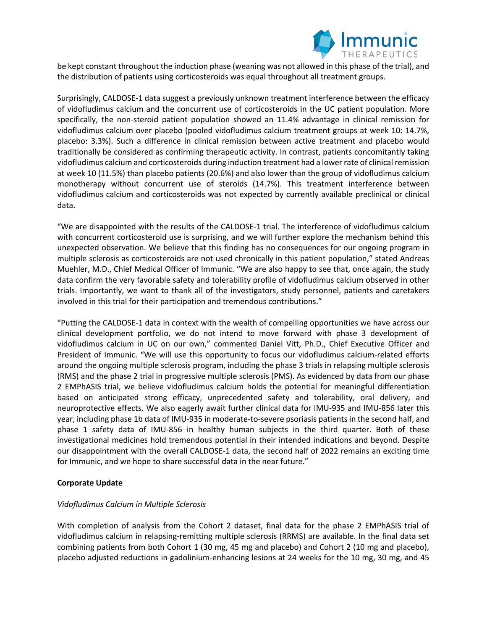

be kept constant throughout the induction phase (weaning was not allowed in this phase of the trial), and the distribution of patients using corticosteroids was equal throughout all treatment groups.

Surprisingly, CALDOSE-1 data suggest a previously unknown treatment interference between the efficacy of vidofludimus calcium and the concurrent use of corticosteroids in the UC patient population. More specifically, the non-steroid patient population showed an 11.4% advantage in clinical remission for vidofludimus calcium over placebo (pooled vidofludimus calcium treatment groups at week 10: 14.7%, placebo: 3.3%). Such a difference in clinical remission between active treatment and placebo would traditionally be considered as confirming therapeutic activity. In contrast, patients concomitantly taking vidofludimus calcium and corticosteroids during induction treatment had a lower rate of clinical remission at week 10 (11.5%) than placebo patients (20.6%) and also lower than the group of vidofludimus calcium monotherapy without concurrent use of steroids (14.7%). This treatment interference between vidofludimus calcium and corticosteroids was not expected by currently available preclinical or clinical data.

"We are disappointed with the results of the CALDOSE-1 trial. The interference of vidofludimus calcium with concurrent corticosteroid use is surprising, and we will further explore the mechanism behind this unexpected observation. We believe that this finding has no consequences for our ongoing program in multiple sclerosis as corticosteroids are not used chronically in this patient population," stated Andreas Muehler, M.D., Chief Medical Officer of Immunic. "We are also happy to see that, once again, the study data confirm the very favorable safety and tolerability profile of vidofludimus calcium observed in other trials. Importantly, we want to thank all of the investigators, study personnel, patients and caretakers involved in this trial for their participation and tremendous contributions."

"Putting the CALDOSE-1 data in context with the wealth of compelling opportunities we have across our clinical development portfolio, we do not intend to move forward with phase 3 development of vidofludimus calcium in UC on our own," commented Daniel Vitt, Ph.D., Chief Executive Officer and President of Immunic. "We will use this opportunity to focus our vidofludimus calcium-related efforts around the ongoing multiple sclerosis program, including the phase 3 trials in relapsing multiple sclerosis (RMS) and the phase 2 trial in progressive multiple sclerosis (PMS). As evidenced by data from our phase 2 EMPhASIS trial, we believe vidofludimus calcium holds the potential for meaningful differentiation based on anticipated strong efficacy, unprecedented safety and tolerability, oral delivery, and neuroprotective effects. We also eagerly await further clinical data for IMU-935 and IMU-856 later this year, including phase 1b data of IMU-935 in moderate-to-severe psoriasis patients in the second half, and phase 1 safety data of IMU-856 in healthy human subjects in the third quarter. Both of these investigational medicines hold tremendous potential in their intended indications and beyond. Despite our disappointment with the overall CALDOSE-1 data, the second half of 2022 remains an exciting time for Immunic, and we hope to share successful data in the near future."

# **Corporate Update**

# *Vidofludimus Calcium in Multiple Sclerosis*

With completion of analysis from the Cohort 2 dataset, final data for the phase 2 EMPhASIS trial of vidofludimus calcium in relapsing-remitting multiple sclerosis (RRMS) are available. In the final data set combining patients from both Cohort 1 (30 mg, 45 mg and placebo) and Cohort 2 (10 mg and placebo), placebo adjusted reductions in gadolinium-enhancing lesions at 24 weeks for the 10 mg, 30 mg, and 45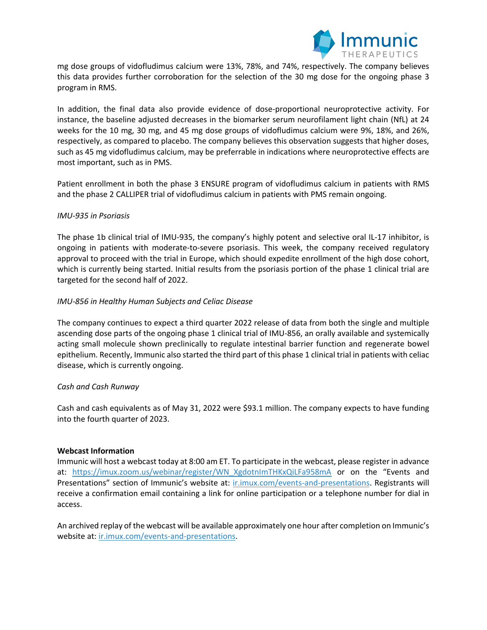

mg dose groups of vidofludimus calcium were 13%, 78%, and 74%, respectively. The company believes this data provides further corroboration for the selection of the 30 mg dose for the ongoing phase 3 program in RMS.

In addition, the final data also provide evidence of dose-proportional neuroprotective activity. For instance, the baseline adjusted decreases in the biomarker serum neurofilament light chain (NfL) at 24 weeks for the 10 mg, 30 mg, and 45 mg dose groups of vidofludimus calcium were 9%, 18%, and 26%, respectively, as compared to placebo. The company believes this observation suggests that higher doses, such as 45 mg vidofludimus calcium, may be preferrable in indications where neuroprotective effects are most important, such as in PMS.

Patient enrollment in both the phase 3 ENSURE program of vidofludimus calcium in patients with RMS and the phase 2 CALLIPER trial of vidofludimus calcium in patients with PMS remain ongoing.

## *IMU-935 in Psoriasis*

The phase 1b clinical trial of IMU-935, the company's highly potent and selective oral IL-17 inhibitor, is ongoing in patients with moderate-to-severe psoriasis. This week, the company received regulatory approval to proceed with the trial in Europe, which should expedite enrollment of the high dose cohort, which is currently being started. Initial results from the psoriasis portion of the phase 1 clinical trial are targeted for the second half of 2022.

## *IMU-856 in Healthy Human Subjects and Celiac Disease*

The company continues to expect a third quarter 2022 release of data from both the single and multiple ascending dose parts of the ongoing phase 1 clinical trial of IMU-856, an orally available and systemically acting small molecule shown preclinically to regulate intestinal barrier function and regenerate bowel epithelium. Recently, Immunic also started the third part of this phase 1 clinical trial in patients with celiac disease, which is currently ongoing.

### *Cash and Cash Runway*

Cash and cash equivalents as of May 31, 2022 were \$93.1 million. The company expects to have funding into the fourth quarter of 2023.

# **Webcast Information**

Immunic will host a webcast today at 8:00 am ET. To participate in the webcast, please register in advance at: https://imux.zoom.us/webinar/register/WN\_XgdotnImTHKxQiLFa958mA or on the "Events and Presentations" section of Immunic's website at: ir.imux.com/events-and-presentations. Registrants will receive a confirmation email containing a link for online participation or a telephone number for dial in access.

An archived replay of the webcast will be available approximately one hour after completion on Immunic's website at: ir.imux.com/events-and-presentations.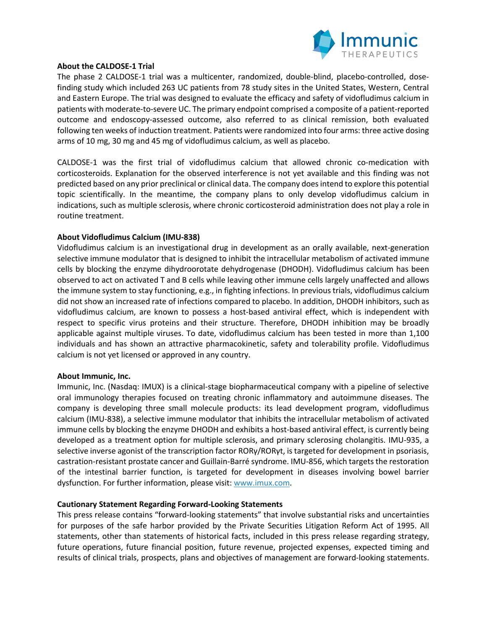

### **About the CALDOSE-1 Trial**

The phase 2 CALDOSE-1 trial was a multicenter, randomized, double-blind, placebo-controlled, dosefinding study which included 263 UC patients from 78 study sites in the United States, Western, Central and Eastern Europe. The trial was designed to evaluate the efficacy and safety of vidofludimus calcium in patients with moderate-to-severe UC. The primary endpoint comprised a composite of a patient-reported outcome and endoscopy-assessed outcome, also referred to as clinical remission, both evaluated following ten weeks of induction treatment. Patients were randomized into four arms: three active dosing arms of 10 mg, 30 mg and 45 mg of vidofludimus calcium, as well as placebo.

CALDOSE-1 was the first trial of vidofludimus calcium that allowed chronic co-medication with corticosteroids. Explanation for the observed interference is not yet available and this finding was not predicted based on any prior preclinical or clinical data. The company does intend to explore this potential topic scientifically. In the meantime, the company plans to only develop vidofludimus calcium in indications, such as multiple sclerosis, where chronic corticosteroid administration does not play a role in routine treatment.

# **About Vidofludimus Calcium (IMU-838)**

Vidofludimus calcium is an investigational drug in development as an orally available, next-generation selective immune modulator that is designed to inhibit the intracellular metabolism of activated immune cells by blocking the enzyme dihydroorotate dehydrogenase (DHODH). Vidofludimus calcium has been observed to act on activated T and B cells while leaving other immune cells largely unaffected and allows the immune system to stay functioning, e.g., in fighting infections. In previous trials, vidofludimus calcium did not show an increased rate of infections compared to placebo. In addition, DHODH inhibitors, such as vidofludimus calcium, are known to possess a host-based antiviral effect, which is independent with respect to specific virus proteins and their structure. Therefore, DHODH inhibition may be broadly applicable against multiple viruses. To date, vidofludimus calcium has been tested in more than 1,100 individuals and has shown an attractive pharmacokinetic, safety and tolerability profile. Vidofludimus calcium is not yet licensed or approved in any country.

### **About Immunic, Inc.**

Immunic, Inc. (Nasdaq: IMUX) is a clinical-stage biopharmaceutical company with a pipeline of selective oral immunology therapies focused on treating chronic inflammatory and autoimmune diseases. The company is developing three small molecule products: its lead development program, vidofludimus calcium (IMU-838), a selective immune modulator that inhibits the intracellular metabolism of activated immune cells by blocking the enzyme DHODH and exhibits a host-based antiviral effect, is currently being developed as a treatment option for multiple sclerosis, and primary sclerosing cholangitis. IMU-935, a selective inverse agonist of the transcription factor RORγ/RORγt, is targeted for development in psoriasis, castration-resistant prostate cancer and Guillain-Barré syndrome. IMU-856, which targets the restoration of the intestinal barrier function, is targeted for development in diseases involving bowel barrier dysfunction. For further information, please visit: www.imux.com.

### **Cautionary Statement Regarding Forward-Looking Statements**

This press release contains "forward-looking statements" that involve substantial risks and uncertainties for purposes of the safe harbor provided by the Private Securities Litigation Reform Act of 1995. All statements, other than statements of historical facts, included in this press release regarding strategy, future operations, future financial position, future revenue, projected expenses, expected timing and results of clinical trials, prospects, plans and objectives of management are forward-looking statements.